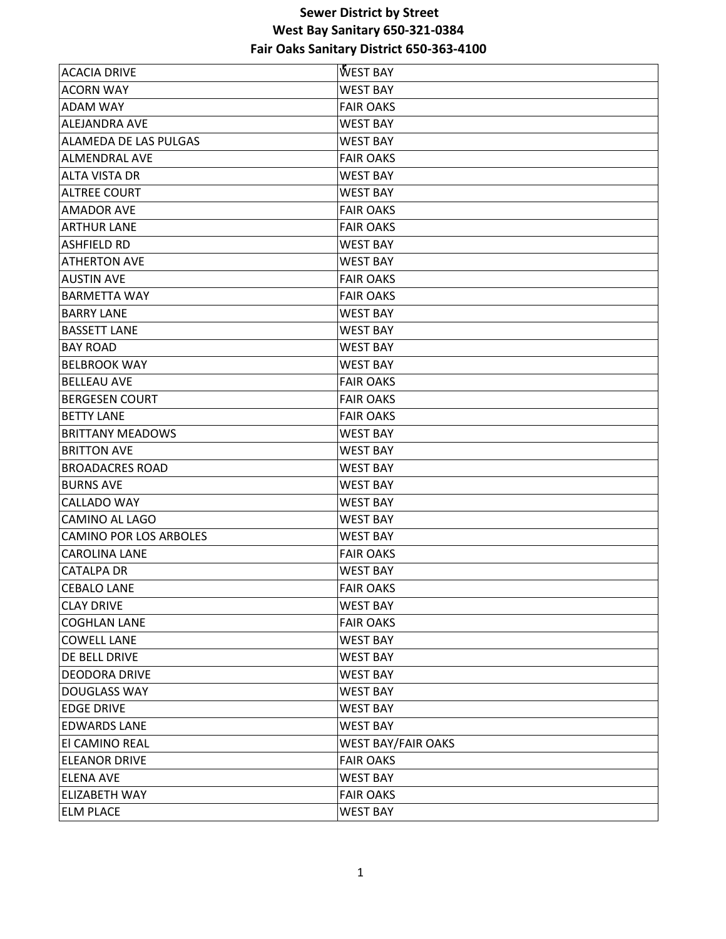| <b>ACACIA DRIVE</b>           | <b>WEST BAY</b>           |
|-------------------------------|---------------------------|
| <b>ACORN WAY</b>              | <b>WEST BAY</b>           |
| <b>ADAM WAY</b>               | <b>FAIR OAKS</b>          |
| <b>ALEJANDRA AVE</b>          | <b>WEST BAY</b>           |
| <b>ALAMEDA DE LAS PULGAS</b>  | WEST BAY                  |
| <b>ALMENDRAL AVE</b>          | <b>FAIR OAKS</b>          |
| <b>ALTA VISTA DR</b>          | <b>WEST BAY</b>           |
| <b>ALTREE COURT</b>           | <b>WEST BAY</b>           |
| <b>AMADOR AVE</b>             | <b>FAIR OAKS</b>          |
| <b>ARTHUR LANE</b>            | <b>FAIR OAKS</b>          |
| <b>ASHFIELD RD</b>            | <b>WEST BAY</b>           |
| <b>ATHERTON AVE</b>           | <b>WEST BAY</b>           |
| <b>AUSTIN AVE</b>             | <b>FAIR OAKS</b>          |
| <b>BARMETTA WAY</b>           | <b>FAIR OAKS</b>          |
| <b>BARRY LANE</b>             | <b>WEST BAY</b>           |
| <b>BASSETT LANE</b>           | <b>WEST BAY</b>           |
| <b>BAY ROAD</b>               | <b>WEST BAY</b>           |
| <b>BELBROOK WAY</b>           | <b>WEST BAY</b>           |
| <b>BELLEAU AVE</b>            | <b>FAIR OAKS</b>          |
| <b>BERGESEN COURT</b>         | <b>FAIR OAKS</b>          |
| <b>BETTY LANE</b>             | <b>FAIR OAKS</b>          |
| <b>BRITTANY MEADOWS</b>       | <b>WEST BAY</b>           |
| <b>BRITTON AVE</b>            | <b>WEST BAY</b>           |
| <b>BROADACRES ROAD</b>        | <b>WEST BAY</b>           |
| <b>BURNS AVE</b>              | <b>WEST BAY</b>           |
| <b>CALLADO WAY</b>            | <b>WEST BAY</b>           |
| CAMINO AL LAGO                | <b>WEST BAY</b>           |
| <b>CAMINO POR LOS ARBOLES</b> | <b>WEST BAY</b>           |
| <b>CAROLINA LANE</b>          | <b>FAIR OAKS</b>          |
| <b>CATALPA DR</b>             | <b>WEST BAY</b>           |
| <b>CEBALO LANE</b>            | <b>FAIR OAKS</b>          |
| <b>CLAY DRIVE</b>             | <b>WEST BAY</b>           |
| <b>COGHLAN LANE</b>           | <b>FAIR OAKS</b>          |
| <b>COWELL LANE</b>            | <b>WEST BAY</b>           |
| DE BELL DRIVE                 | <b>WEST BAY</b>           |
| <b>DEODORA DRIVE</b>          | <b>WEST BAY</b>           |
| <b>DOUGLASS WAY</b>           | <b>WEST BAY</b>           |
| <b>EDGE DRIVE</b>             | <b>WEST BAY</b>           |
| <b>EDWARDS LANE</b>           | <b>WEST BAY</b>           |
| El CAMINO REAL                | <b>WEST BAY/FAIR OAKS</b> |
| <b>ELEANOR DRIVE</b>          | <b>FAIR OAKS</b>          |
| <b>ELENA AVE</b>              | <b>WEST BAY</b>           |
| <b>ELIZABETH WAY</b>          | <b>FAIR OAKS</b>          |
| <b>ELM PLACE</b>              | <b>WEST BAY</b>           |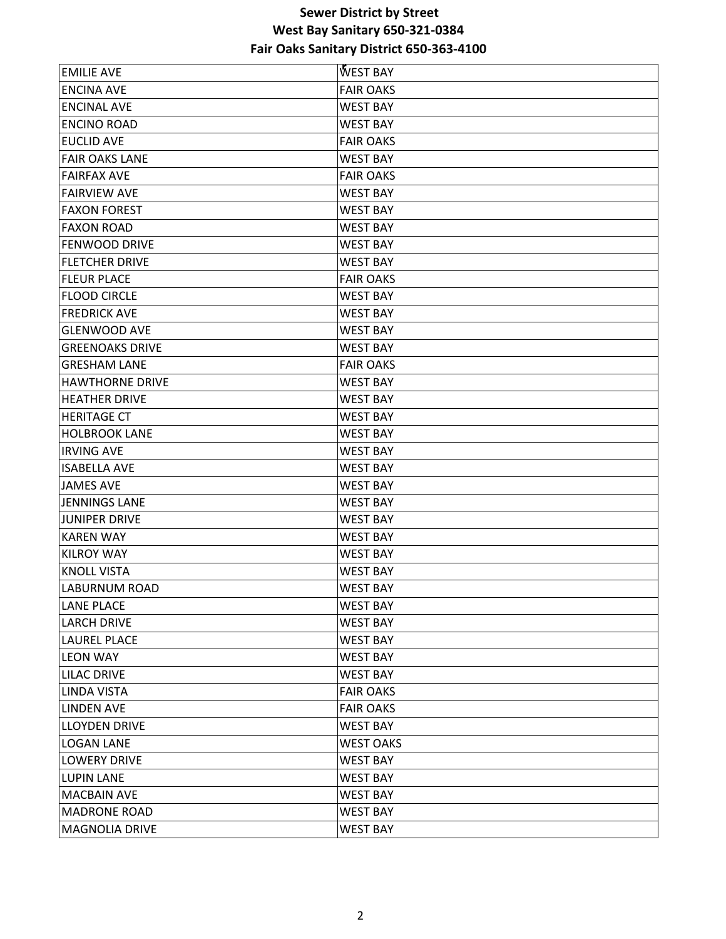| <b>EMILIE AVE</b>      | <b>WEST BAY</b>  |
|------------------------|------------------|
| <b>ENCINA AVE</b>      | <b>FAIR OAKS</b> |
| <b>ENCINAL AVE</b>     | <b>WEST BAY</b>  |
| <b>ENCINO ROAD</b>     | <b>WEST BAY</b>  |
| <b>EUCLID AVE</b>      | <b>FAIR OAKS</b> |
| <b>FAIR OAKS LANE</b>  | <b>WEST BAY</b>  |
| <b>FAIRFAX AVE</b>     | <b>FAIR OAKS</b> |
| <b>FAIRVIEW AVE</b>    | <b>WEST BAY</b>  |
| <b>FAXON FOREST</b>    | <b>WEST BAY</b>  |
| <b>FAXON ROAD</b>      | <b>WEST BAY</b>  |
| <b>FENWOOD DRIVE</b>   | <b>WEST BAY</b>  |
| <b>FLETCHER DRIVE</b>  | <b>WEST BAY</b>  |
| <b>FLEUR PLACE</b>     | <b>FAIR OAKS</b> |
| <b>FLOOD CIRCLE</b>    | <b>WEST BAY</b>  |
| <b>FREDRICK AVE</b>    | <b>WEST BAY</b>  |
| <b>GLENWOOD AVE</b>    | <b>WEST BAY</b>  |
| <b>GREENOAKS DRIVE</b> | <b>WEST BAY</b>  |
| <b>GRESHAM LANE</b>    | <b>FAIR OAKS</b> |
| <b>HAWTHORNE DRIVE</b> | <b>WEST BAY</b>  |
| <b>HEATHER DRIVE</b>   | <b>WEST BAY</b>  |
| <b>HERITAGE CT</b>     | <b>WEST BAY</b>  |
| <b>HOLBROOK LANE</b>   | WEST BAY         |
| <b>IRVING AVE</b>      | <b>WEST BAY</b>  |
| <b>ISABELLA AVE</b>    | WEST BAY         |
| <b>JAMES AVE</b>       | <b>WEST BAY</b>  |
| <b>JENNINGS LANE</b>   | <b>WEST BAY</b>  |
| <b>JUNIPER DRIVE</b>   | <b>WEST BAY</b>  |
| <b>KAREN WAY</b>       | <b>WEST BAY</b>  |
| <b>KILROY WAY</b>      | <b>WEST BAY</b>  |
| <b>KNOLL VISTA</b>     | <b>WEST BAY</b>  |
| <b>LABURNUM ROAD</b>   | <b>WEST BAY</b>  |
| <b>LANE PLACE</b>      | <b>WEST BAY</b>  |
| <b>LARCH DRIVE</b>     | <b>WEST BAY</b>  |
| <b>LAUREL PLACE</b>    | <b>WEST BAY</b>  |
| <b>LEON WAY</b>        | <b>WEST BAY</b>  |
| <b>LILAC DRIVE</b>     | <b>WEST BAY</b>  |
| <b>LINDA VISTA</b>     | <b>FAIR OAKS</b> |
| <b>LINDEN AVE</b>      | <b>FAIR OAKS</b> |
| <b>LLOYDEN DRIVE</b>   | <b>WEST BAY</b>  |
| <b>LOGAN LANE</b>      | <b>WEST OAKS</b> |
| <b>LOWERY DRIVE</b>    | WEST BAY         |
| <b>LUPIN LANE</b>      | <b>WEST BAY</b>  |
| <b>MACBAIN AVE</b>     | <b>WEST BAY</b>  |
| <b>MADRONE ROAD</b>    | <b>WEST BAY</b>  |
| <b>MAGNOLIA DRIVE</b>  | <b>WEST BAY</b>  |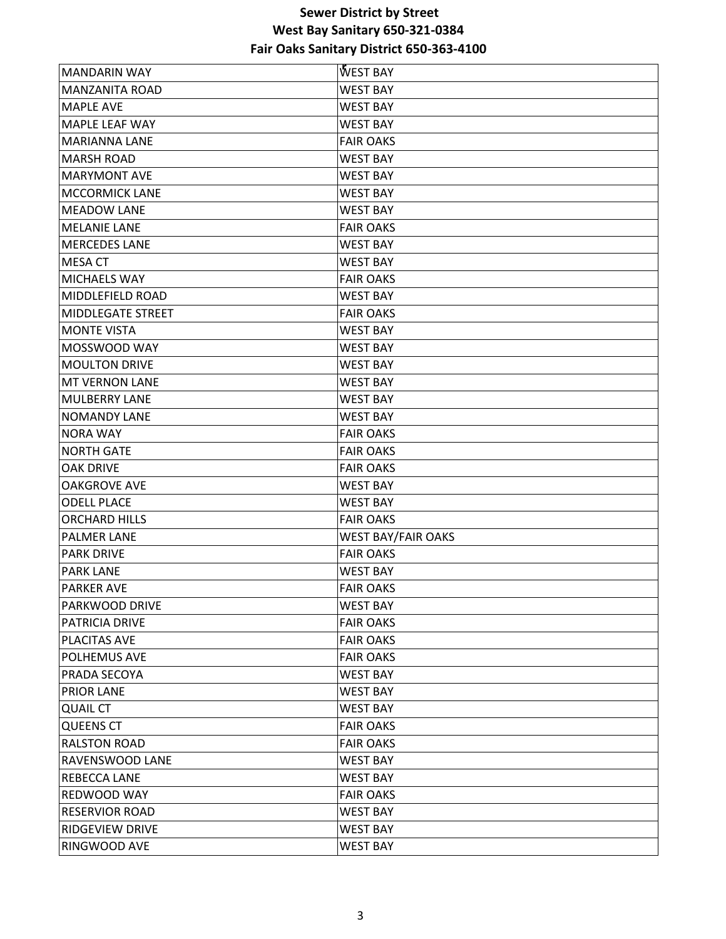| <b>MANDARIN WAY</b>    | WEST BAY                  |
|------------------------|---------------------------|
| <b>MANZANITA ROAD</b>  | <b>WEST BAY</b>           |
| <b>MAPLE AVE</b>       | <b>WEST BAY</b>           |
| <b>MAPLE LEAF WAY</b>  | <b>WEST BAY</b>           |
| MARIANNA LANE          | <b>FAIR OAKS</b>          |
| <b>MARSH ROAD</b>      | <b>WEST BAY</b>           |
| <b>MARYMONT AVE</b>    | <b>WEST BAY</b>           |
| <b>MCCORMICK LANE</b>  | <b>WEST BAY</b>           |
| <b>MEADOW LANE</b>     | <b>WEST BAY</b>           |
| <b>MELANIE LANE</b>    | <b>FAIR OAKS</b>          |
| <b>MERCEDES LANE</b>   | <b>WEST BAY</b>           |
| <b>MESA CT</b>         | <b>WEST BAY</b>           |
| <b>MICHAELS WAY</b>    | <b>FAIR OAKS</b>          |
| MIDDLEFIELD ROAD       | <b>WEST BAY</b>           |
| MIDDLEGATE STREET      | <b>FAIR OAKS</b>          |
| <b>MONTE VISTA</b>     | <b>WEST BAY</b>           |
| MOSSWOOD WAY           | <b>WEST BAY</b>           |
| <b>MOULTON DRIVE</b>   | <b>WEST BAY</b>           |
| <b>MT VERNON LANE</b>  | <b>WEST BAY</b>           |
| <b>MULBERRY LANE</b>   | <b>WEST BAY</b>           |
| INOMANDY LANE          | <b>WEST BAY</b>           |
| <b>NORA WAY</b>        | <b>FAIR OAKS</b>          |
| <b>NORTH GATE</b>      | <b>FAIR OAKS</b>          |
| <b>OAK DRIVE</b>       | <b>FAIR OAKS</b>          |
| <b>OAKGROVE AVE</b>    | <b>WEST BAY</b>           |
| <b>ODELL PLACE</b>     | <b>WEST BAY</b>           |
| <b>ORCHARD HILLS</b>   | <b>FAIR OAKS</b>          |
| <b>PALMER LANE</b>     | <b>WEST BAY/FAIR OAKS</b> |
| <b>PARK DRIVE</b>      | <b>FAIR OAKS</b>          |
| <b>PARK LANE</b>       | <b>WEST BAY</b>           |
| <b>PARKER AVE</b>      | <b>FAIR OAKS</b>          |
| <b>PARKWOOD DRIVE</b>  | <b>WEST BAY</b>           |
| <b>PATRICIA DRIVE</b>  | <b>FAIR OAKS</b>          |
| PLACITAS AVE           | <b>FAIR OAKS</b>          |
| POLHEMUS AVE           | <b>FAIR OAKS</b>          |
| <b>PRADA SECOYA</b>    | <b>WEST BAY</b>           |
| <b>PRIOR LANE</b>      | <b>WEST BAY</b>           |
| <b>QUAIL CT</b>        | <b>WEST BAY</b>           |
| <b>QUEENS CT</b>       | <b>FAIR OAKS</b>          |
| <b>RALSTON ROAD</b>    | <b>FAIR OAKS</b>          |
| <b>RAVENSWOOD LANE</b> | <b>WEST BAY</b>           |
| <b>REBECCA LANE</b>    | <b>WEST BAY</b>           |
| <b>REDWOOD WAY</b>     | <b>FAIR OAKS</b>          |
| <b>RESERVIOR ROAD</b>  | <b>WEST BAY</b>           |
| <b>RIDGEVIEW DRIVE</b> | <b>WEST BAY</b>           |
| RINGWOOD AVE           | <b>WEST BAY</b>           |